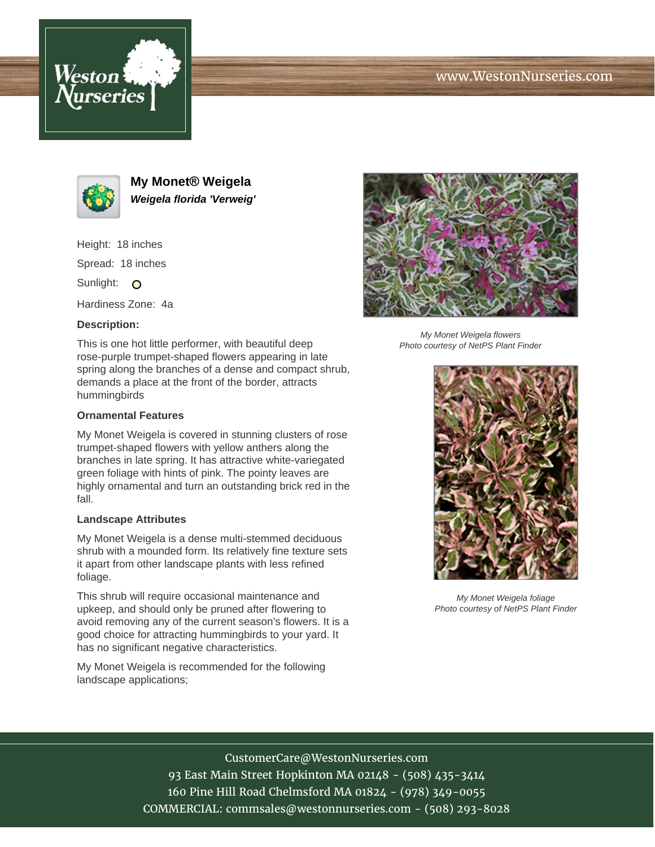





**My Monet® Weigela Weigela florida 'Verweig'**

Height: 18 inches

Spread: 18 inches

Sunlight: O

Hardiness Zone: 4a

## **Description:**

This is one hot little performer, with beautiful deep rose-purple trumpet-shaped flowers appearing in late spring along the branches of a dense and compact shrub, demands a place at the front of the border, attracts hummingbirds

## **Ornamental Features**

My Monet Weigela is covered in stunning clusters of rose trumpet-shaped flowers with yellow anthers along the branches in late spring. It has attractive white-variegated green foliage with hints of pink. The pointy leaves are highly ornamental and turn an outstanding brick red in the fall.

### **Landscape Attributes**

My Monet Weigela is a dense multi-stemmed deciduous shrub with a mounded form. Its relatively fine texture sets it apart from other landscape plants with less refined foliage.

This shrub will require occasional maintenance and upkeep, and should only be pruned after flowering to avoid removing any of the current season's flowers. It is a good choice for attracting hummingbirds to your yard. It has no significant negative characteristics.

My Monet Weigela is recommended for the following landscape applications;



My Monet Weigela flowers Photo courtesy of NetPS Plant Finder



My Monet Weigela foliage Photo courtesy of NetPS Plant Finder

# CustomerCare@WestonNurseries.com

93 East Main Street Hopkinton MA 02148 - (508) 435-3414 160 Pine Hill Road Chelmsford MA 01824 - (978) 349-0055 COMMERCIAL: commsales@westonnurseries.com - (508) 293-8028